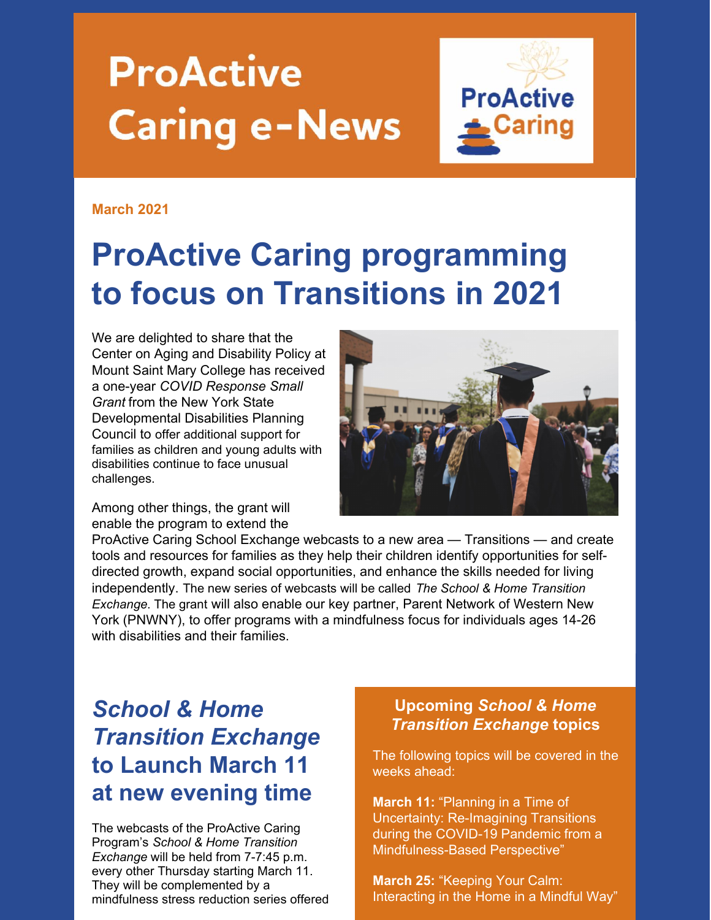# **ProActive Caring e-News**



#### **March 2021**

## **ProActive Caring programming to focus on Transitions in 2021**

We are delighted to share that the Center on Aging and Disability Policy at Mount Saint Mary College has received a one-year *COVID Response Small Grant* from the New York State Developmental Disabilities Planning Council to offer additional support for families as children and young adults with disabilities continue to face unusual challenges.



Among other things, the grant will enable the program to extend the

ProActive Caring School Exchange webcasts to a new area — Transitions — and create tools and resources for families as they help their children identify opportunities for selfdirected growth, expand social opportunities, and enhance the skills needed for living independently. The new series of webcasts will be called *The School & Home Transition Exchange*. The grant will also enable our key partner, Parent Network of Western New York (PNWNY), to offer programs with a mindfulness focus for individuals ages 14-26 with disabilities and their families.

### *School & Home Transition Exchange* **to Launch March 11 at new evening time**

The webcasts of the ProActive Caring Program's *School & Home Transition Exchange* will be held from 7-7:45 p.m. every other Thursday starting March 11. They will be complemented by a mindfulness stress reduction series offered

#### **Upcoming** *School & Home Transition Exchange* **topics**

The following topics will be covered in the weeks ahead:

**March 11:** "Planning in a Time of Uncertainty: Re-Imagining Transitions during the COVID-19 Pandemic from a Mindfulness-Based Perspective"

**March 25:** "Keeping Your Calm: Interacting in the Home in a Mindful Way"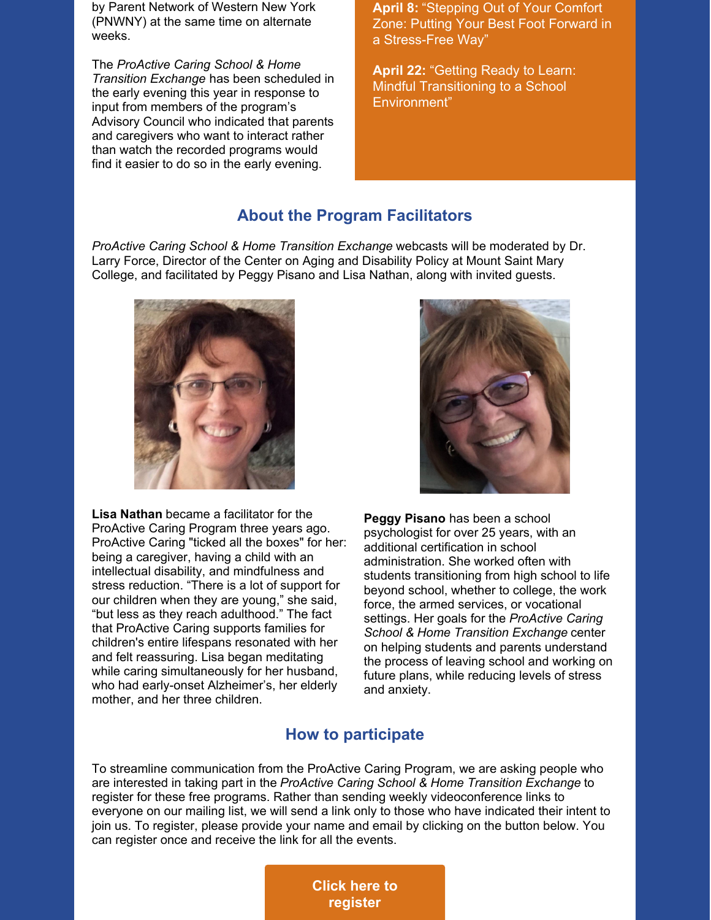by Parent Network of Western New York (PNWNY) at the same time on alternate weeks.

The *ProActive Caring School & Home Transition Exchange* has been scheduled in the early evening this year in response to input from members of the program's Advisory Council who indicated that parents and caregivers who want to interact rather than watch the recorded programs would find it easier to do so in the early evening.

**April 8:** "Stepping Out of Your Comfort Zone: Putting Your Best Foot Forward in a Stress-Free Way"

**April 22:** "Getting Ready to Learn: Mindful Transitioning to a School Environment"

#### **About the Program Facilitators**

*ProActive Caring School & Home Transition Exchange* webcasts will be moderated by Dr. Larry Force, Director of the Center on Aging and Disability Policy at Mount Saint Mary College, and facilitated by Peggy Pisano and Lisa Nathan, along with invited guests.



**Lisa Nathan** became a facilitator for the ProActive Caring Program three years ago. ProActive Caring "ticked all the boxes" for her: being a caregiver, having a child with an intellectual disability, and mindfulness and stress reduction. "There is a lot of support for our children when they are young," she said, "but less as they reach adulthood." The fact that ProActive Caring supports families for children's entire lifespans resonated with her and felt reassuring. Lisa began meditating while caring simultaneously for her husband, who had early-onset Alzheimer's, her elderly mother, and her three children.



**Peggy Pisano** has been a school psychologist for over 25 years, with an additional certification in school administration. She worked often with students transitioning from high school to life beyond school, whether to college, the work force, the armed services, or vocational settings. Her goals for the *ProActive Caring School & Home Transition Exchange* center on helping students and parents understand the process of leaving school and working on future plans, while reducing levels of stress and anxiety.

#### **How to participate**

To streamline communication from the ProActive Caring Program, we are asking people who are interested in taking part in the *ProActive Caring School & Home Transition Exchange* to register for these free programs. Rather than sending weekly videoconference links to everyone on our mailing list, we will send a link only to those who have indicated their intent to join us. To register, please provide your name and email by clicking on the button below. You can register once and receive the link for all the events.

> **Click here to [register](https://docs.google.com/forms/d/e/1FAIpQLSfJFumZm2lmhNI7CG-xdUn8CCsN3WQp5KH6XSYygk06w4V1Nw/viewform?usp=sf_link)**